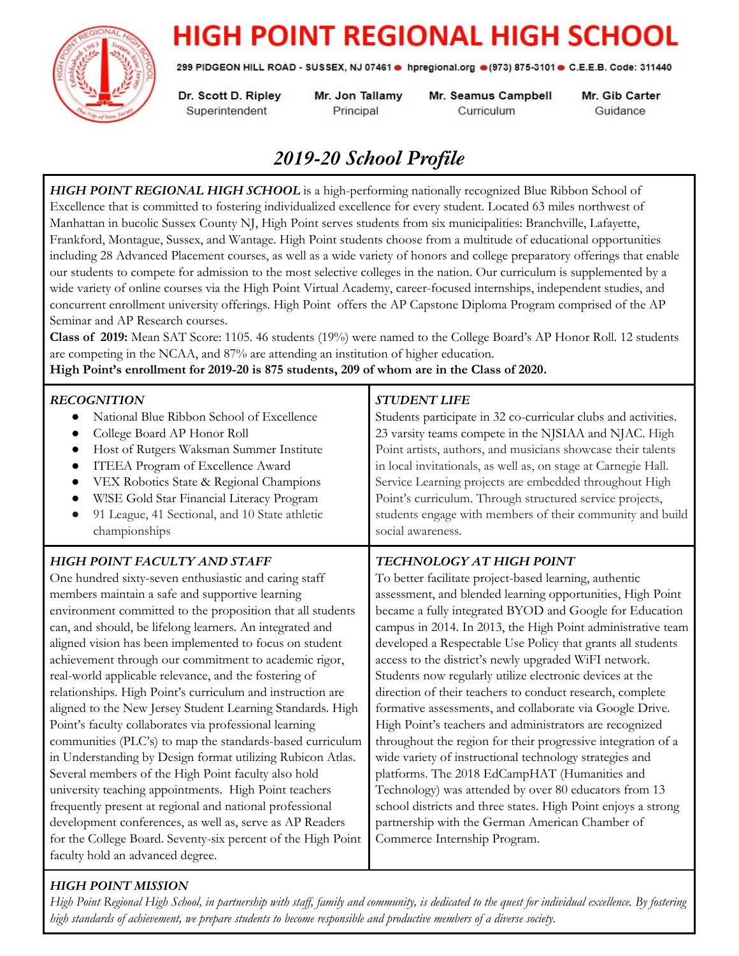

# **HIGH POINT REGIONAL HIGH SCHOOL**

299 PIDGEON HILL ROAD - SUSSEX, NJ 07461 . hpregional.org . (973) 875-3101 . C.E.E.B. Code: 311440

Dr. Scott D. Ripley Superintendent

Mr. Jon Tallamy Principal

**Mr. Seamus Campbell** Curriculum

Mr. Gib Carter Guidance

# *2019-20 School Profile*

*HIGH POINT REGIONAL HIGH SCHOOL* is a high-performing nationally recognized Blue Ribbon School of Excellence that is committed to fostering individualized excellence for every student. Located 63 miles northwest of Manhattan in bucolic Sussex County NJ, High Point serves students from six municipalities: Branchville, Lafayette, Frankford, Montague, Sussex, and Wantage. High Point students choose from a multitude of educational opportunities including 28 Advanced Placement courses, as well as a wide variety of honors and college preparatory offerings that enable our students to compete for admission to the most selective colleges in the nation. Our curriculum is supplemented by a wide variety of online courses via the High Point Virtual Academy, career-focused internships, independent studies, and concurrent enrollment university offerings. High Point offers the AP Capstone Diploma Program comprised of the AP Seminar and AP Research courses.

**Class of 2019:** Mean SAT Score: 1105. 46 students (19%) were named to the College Board's AP Honor Roll. 12 students are competing in the NCAA, and 87% are attending an institution of higher education.

**High Point's enrollment for 2019-20 is 875 students, 209 of whom are in the Class of 2020.**

| <b>RECOGNITION</b><br>National Blue Ribbon School of Excellence<br>College Board AP Honor Roll<br>Host of Rutgers Waksman Summer Institute<br>ITEEA Program of Excellence Award<br>VEX Robotics State & Regional Champions<br>$\bullet$<br>W!SE Gold Star Financial Literacy Program<br>91 League, 41 Sectional, and 10 State athletic<br>$\bullet$<br>championships                                                                                                                                                                                                                                                                                                                                                                                                                                                                                                                                                                                                                                                                                                                                                | <b>STUDENT LIFE</b><br>Students participate in 32 co-curricular clubs and activities.<br>23 varsity teams compete in the NJSIAA and NJAC. High<br>Point artists, authors, and musicians showcase their talents<br>in local invitationals, as well as, on stage at Carnegie Hall.<br>Service Learning projects are embedded throughout High<br>Point's curriculum. Through structured service projects,<br>students engage with members of their community and build<br>social awareness.                                                                                                                                                                                                                                                                                                                                                                                                                                                                                                                                                    |
|---------------------------------------------------------------------------------------------------------------------------------------------------------------------------------------------------------------------------------------------------------------------------------------------------------------------------------------------------------------------------------------------------------------------------------------------------------------------------------------------------------------------------------------------------------------------------------------------------------------------------------------------------------------------------------------------------------------------------------------------------------------------------------------------------------------------------------------------------------------------------------------------------------------------------------------------------------------------------------------------------------------------------------------------------------------------------------------------------------------------|---------------------------------------------------------------------------------------------------------------------------------------------------------------------------------------------------------------------------------------------------------------------------------------------------------------------------------------------------------------------------------------------------------------------------------------------------------------------------------------------------------------------------------------------------------------------------------------------------------------------------------------------------------------------------------------------------------------------------------------------------------------------------------------------------------------------------------------------------------------------------------------------------------------------------------------------------------------------------------------------------------------------------------------------|
| <b>HIGH POINT FACULTY AND STAFF</b><br>One hundred sixty-seven enthusiastic and caring staff<br>members maintain a safe and supportive learning<br>environment committed to the proposition that all students<br>can, and should, be lifelong learners. An integrated and<br>aligned vision has been implemented to focus on student<br>achievement through our commitment to academic rigor,<br>real-world applicable relevance, and the fostering of<br>relationships. High Point's curriculum and instruction are<br>aligned to the New Jersey Student Learning Standards. High<br>Point's faculty collaborates via professional learning<br>communities (PLC's) to map the standards-based curriculum<br>in Understanding by Design format utilizing Rubicon Atlas.<br>Several members of the High Point faculty also hold<br>university teaching appointments. High Point teachers<br>frequently present at regional and national professional<br>development conferences, as well as, serve as AP Readers<br>for the College Board. Seventy-six percent of the High Point<br>faculty hold an advanced degree. | TECHNOLOGY AT HIGH POINT<br>To better facilitate project-based learning, authentic<br>assessment, and blended learning opportunities, High Point<br>became a fully integrated BYOD and Google for Education<br>campus in 2014. In 2013, the High Point administrative team<br>developed a Respectable Use Policy that grants all students<br>access to the district's newly upgraded WiFI network.<br>Students now regularly utilize electronic devices at the<br>direction of their teachers to conduct research, complete<br>formative assessments, and collaborate via Google Drive.<br>High Point's teachers and administrators are recognized<br>throughout the region for their progressive integration of a<br>wide variety of instructional technology strategies and<br>platforms. The 2018 EdCampHAT (Humanities and<br>Technology) was attended by over 80 educators from 13<br>school districts and three states. High Point enjoys a strong<br>partnership with the German American Chamber of<br>Commerce Internship Program. |

## *HIGH POINT MISSION*

High Point Regional High School, in partnership with staff, family and community, is dedicated to the quest for individual excellence. By fostering high standards of achievement, we prepare students to become responsible and productive members of a diverse society.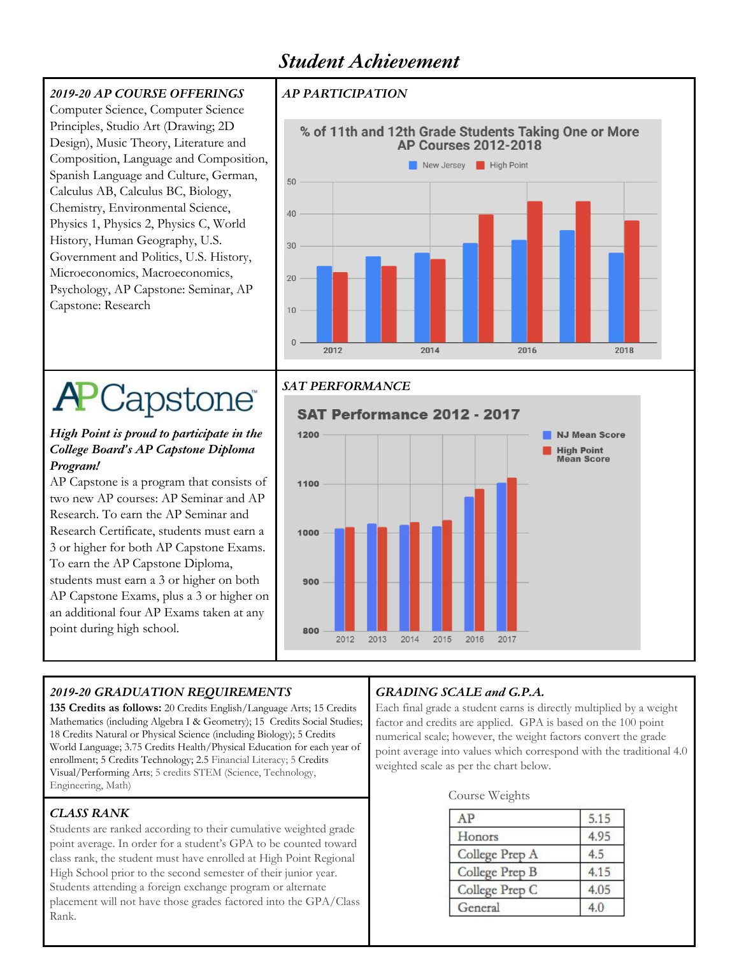# *Student Achievement*

### *2019-20 AP COURSE OFFERINGS*

Computer Science, Computer Science Principles, Studio Art (Drawing; 2D Design), Music Theory, Literature and Composition, Language and Composition, Spanish Language and Culture, German, Calculus AB, Calculus BC, Biology, Chemistry, Environmental Science, Physics 1, Physics 2, Physics C, World History, Human Geography, U.S. Government and Politics, U.S. History, Microeconomics, Macroeconomics, Psychology, AP Capstone: Seminar, AP Capstone: Research

#### *AP PARTICIPATION*



# **APCapstone**

#### *High Point is proud to participate in the College Board's AP Capstone Diploma Program!*

AP Capstone is a program that consists of two new AP courses: AP Seminar and AP Research. To earn the AP Seminar and Research Certificate, students must earn a 3 or higher for both AP Capstone Exams. To earn the AP Capstone Diploma, students must earn a 3 or higher on both AP Capstone Exams, plus a 3 or higher on an additional four AP Exams taken at any point during high school.

## *SAT PERFORMANCE*



#### *2019-20 GRADUATION REQUIREMENTS*

**135 Credits as follows:** 20 Credits English/Language Arts; 15 Credits Mathematics (including Algebra I & Geometry); 15 Credits Social Studies; 18 Credits Natural or Physical Science (including Biology); 5 Credits World Language; 3.75 Credits Health/Physical Education for each year of enrollment; 5 Credits Technology; 2.5 Financial Literacy; 5 Credits Visual/Performing Arts; 5 credits STEM (Science, Technology, Engineering, Math)

## *CLASS RANK*

Students are ranked according to their cumulative weighted grade point average. In order for a student's GPA to be counted toward class rank, the student must have enrolled at High Point Regional High School prior to the second semester of their junior year. Students attending a foreign exchange program or alternate placement will not have those grades factored into the GPA/Class Rank.

## *GRADING SCALE and G.P.A.*

Each final grade a student earns is directly multiplied by a weight factor and credits are applied. GPA is based on the 100 point numerical scale; however, the weight factors convert the grade point average into values which correspond with the traditional 4.0 weighted scale as per the chart below.

#### Course Weights

| AP             | 5.15 |
|----------------|------|
| Honors         | 4.95 |
| College Prep A | 4.5  |
| College Prep B | 4.15 |
| College Prep C | 4.05 |
| General        | 4.0  |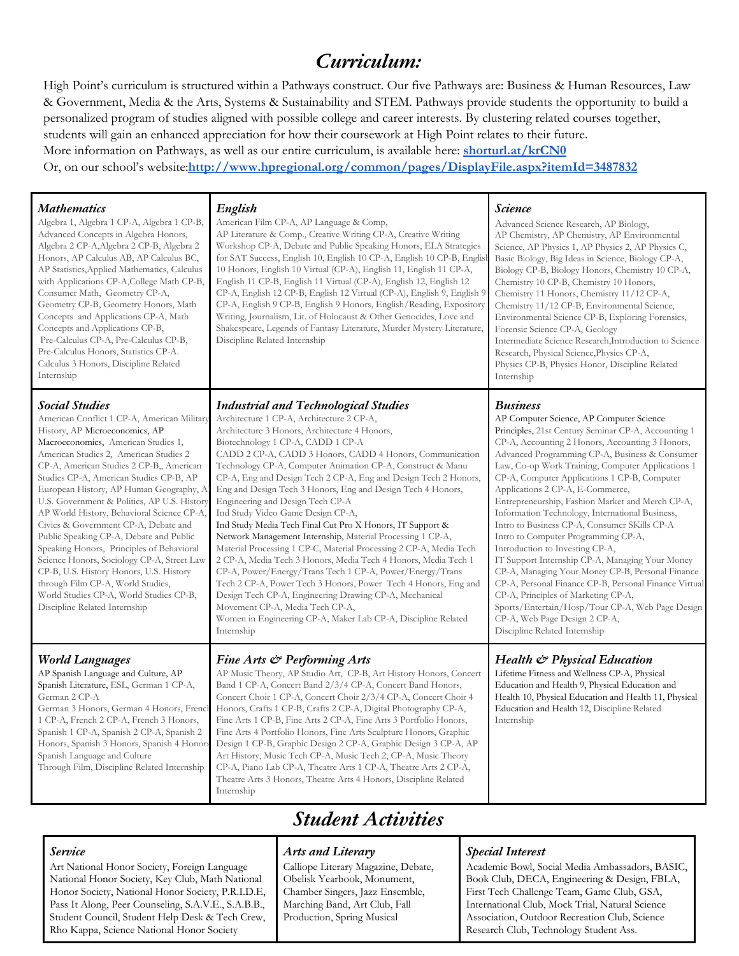## *Curriculum:*

High Point's curriculum is structured within a Pathways construct. Our five Pathways are: Business & Human Resources, Law & Government, Media & the Arts, Systems & Sustainability and STEM. Pathways provide students the opportunity to build a personalized program of studies aligned with possible college and career interests. By clustering related courses together, students will gain an enhanced appreciation for how their coursework at High Point relates to their future. More information on Pathways, as well as our entire curriculum, is available here: **[shorturl.at/krCN0](http://shorturl.at/krCN0)** Or, on our school's website:**<http://www.hpregional.org/common/pages/DisplayFile.aspx?itemId=3487832>**

#### *Mathematics*

Algebra 1, Algebra 1 CP-A, Algebra 1 CP-B, Advanced Concepts in Algebra Honors, Algebra 2 CP-A,Algebra 2 CP-B, Algebra 2 Honors, AP Calculus AB, AP Calculus BC, AP Statistics,Applied Mathematics, Calculus with Applications CP-A,College Math CP-B, Consumer Math, Geometry CP-A, Geometry CP-B, Geometry Honors, Math Concepts and Applications CP-A, Math Concepts and Applications CP-B, Pre-Calculus CP-A, Pre-Calculus CP-B, Pre-Calculus Honors, Statistics CP-A. Calculus 3 Honors, Discipline Related Internship

#### *Social Studies*

American Conflict 1 CP-A, American Military History, AP Microeconomics, AP Macroeconomics, American Studies 1, American Studies 2, American Studies 2 CP-A, American Studies 2 CP-B,, American Studies CP-A, American Studies CP-B, AP European History, AP Human Geography, A U.S. Government & Politics, AP U.S. History, AP World History, Behavioral Science CP-A, Civics & Government CP-A, Debate and Public Speaking CP-A, Debate and Public Speaking Honors, Principles of Behavioral Science Honors, Sociology CP-A, Street Law CP-B, U.S. History Honors, U.S. History through Film CP-A, World Studies, World Studies CP-A, World Studies CP-B, Discipline Related Internship

#### *English*

American Film CP-A, AP Language & Comp, AP Literature & Comp., Creative Writing CP-A, Creative Writing Workshop CP-A, Debate and Public Speaking Honors, ELA Strategies for SAT Success, English 10, English 10 CP-A, English 10 CP-B, English 10 Honors, English 10 Virtual (CP-A), English 11, English 11 CP-A, English 11 CP-B, English 11 Virtual (CP-A), English 12, English 12 CP-A, English 12 CP-B, English 12 Virtual (CP-A), English 9, English 9 CP-A, English 9 CP-B, English 9 Honors, English/Reading, Expository Writing, Journalism, Lit. of Holocaust & Other Genocides, Love and Shakespeare, Legends of Fantasy Literature, Murder Mystery Literature, Discipline Related Internship

#### *Industrial and Technological Studies*

Architecture 1 CP-A, Architecture 2 CP-A, Architecture 3 Honors, Architecture 4 Honors, Biotechnology 1 CP-A, CADD 1 CP-A CADD 2 CP-A, CADD 3 Honors, CADD 4 Honors, Communication Technology CP-A, Computer Animation CP-A, Construct & Manu CP-A, Eng and Design Tech 2 CP-A, Eng and Design Tech 2 Honors, Eng and Design Tech 3 Honors, Eng and Design Tech 4 Honors, Engineering and Design Tech CP-A Ind Study Video Game Design CP-A, Ind Study Media Tech Final Cut Pro X Honors, IT Support & Network Management Internship, Material Processing 1 CP-A, Material Processing 1 CP-C, Material Processing 2 CP-A, Media Tech 2 CP-A, Media Tech 3 Honors, Media Tech 4 Honors, Media Tech 1 CP-A, Power/Energy/Trans Tech 1 CP-A, Power/Energy/Trans Tech 2 CP-A, Power Tech 3 Honors, Power Tech 4 Honors, Eng and Design Tech CP-A, Engineering Drawing CP-A, Mechanical Movement CP-A, Media Tech CP-A, Women in Engineering CP-A, Maker Lab CP-A, Discipline Related Internship

#### *World Languages*

AP Spanish Language and Culture, AP Spanish Literature, ESL, German 1 CP-A, German 2 CP-A German 3 Honors, German 4 Honors, French 1 CP-A, French 2 CP-A, French 3 Honors, Spanish 1 CP-A, Spanish 2 CP-A, Spanish 2 Honors, Spanish 3 Honors, Spanish 4 Honors Spanish Language and Culture Through Film, Discipline Related Internship

#### *Fine Arts & Performing Arts*

AP Music Theory, AP Studio Art, CP-B, Art History Honors, Concert Band 1 CP-A, Concert Band 2/3/4 CP-A, Concert Band Honors, Concert Choir 1 CP-A, Concert Choir 2/3/4 CP-A, Concert Choir 4 Honors, Crafts 1 CP-B, Crafts 2 CP-A, Digital Photography CP-A, Fine Arts 1 CP-B, Fine Arts 2 CP-A, Fine Arts 3 Portfolio Honors, Fine Arts 4 Portfolio Honors, Fine Arts Sculpture Honors, Graphic Design 1 CP-B, Graphic Design 2 CP-A, Graphic Design 3 CP-A, AP Art History, Music Tech CP-A, Music Tech 2, CP-A, Music Theory CP-A, Piano Lab CP-A, Theatre Arts 1 CP-A, Theatre Arts 2 CP-A, Theatre Arts 3 Honors, Theatre Arts 4 Honors, Discipline Related Internship

# *Student Activities*

#### *Service*

Art National Honor Society, Foreign Language National Honor Society, Key Club, Math National Honor Society, National Honor Society, P.R.I.D.E, Pass It Along, Peer Counseling, S.A.V.E., S.A.B.B., Student Council, Student Help Desk & Tech Crew, Rho Kappa, Science National Honor Society

#### *Arts and Literary*

Calliope Literary Magazine, Debate, Obelisk Yearbook, Monument, Chamber Singers, Jazz Ensemble, Marching Band, Art Club, Fall Production, Spring Musical

#### *Science*

Advanced Science Research, AP Biology, AP Chemistry, AP Chemistry, AP Environmental Science, AP Physics 1, AP Physics 2, AP Physics C, Basic Biology, Big Ideas in Science, Biology CP-A, Biology CP-B, Biology Honors, Chemistry 10 CP-A, Chemistry 10 CP-B, Chemistry 10 Honors, Chemistry 11 Honors, Chemistry 11/12 CP-A, Chemistry 11/12 CP-B, Environmental Science, Environmental Science CP-B, Exploring Forensics, Forensic Science CP-A, Geology Intermediate Science Research,Introduction to Science Research, Physical Science,Physics CP-A, Physics CP-B, Physics Honor, Discipline Related Internship

#### *Business*

AP Computer Science, AP Computer Science Principles, 21st Century Seminar CP-A, Accounting 1 CP-A, Accounting 2 Honors, Accounting 3 Honors, Advanced Programming CP-A, Business & Consumer Law, Co-op Work Training, Computer Applications 1 CP-A, Computer Applications 1 CP-B, Computer Applications 2 CP-A, E-Commerce, Entrepreneurship, Fashion Market and Merch CP-A, Information Technology, International Business, Intro to Business CP-A, Consumer SKills CP-A Intro to Computer Programming CP-A, Introduction to Investing CP-A, IT Support Internship CP-A, Managing Your Money CP-A, Managing Your Money CP-B, Personal Finance CP-A, Personal Finance CP-B, Personal Finance Virtual CP-A, Principles of Marketing CP-A, Sports/Entertain/Hosp/Tour CP-A, Web Page Design CP-A, Web Page Design 2 CP-A, Discipline Related Internship

#### *Health & Physical Education*

Lifetime Fitness and Wellness CP-A, Physical Education and Health 9, Physical Education and Health 10, Physical Education and Health 11, Physical Education and Health 12, Discipline Related Internship

#### *Special Interest*

Academic Bowl, Social Media Ambassadors, BASIC, Book Club, DECA, Engineering & Design, FBLA, First Tech Challenge Team, Game Club, GSA, International Club, Mock Trial, Natural Science Association, Outdoor Recreation Club, Science Research Club, Technology Student Ass.